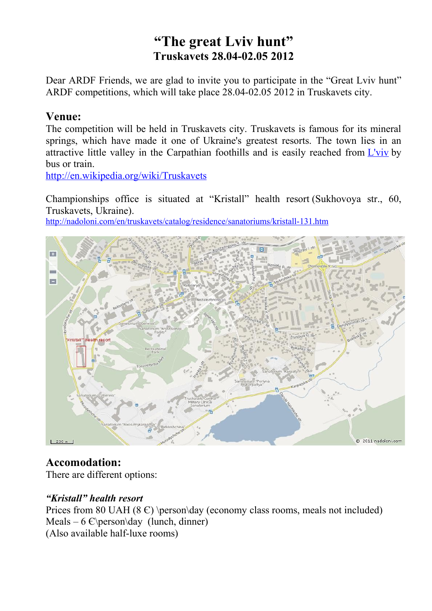# **"The great Lviv hunt" Truskavets 28.04-02.05 2012**

Dear ARDF Friends, we are glad to invite you to participate in the "Great Lviv hunt" ARDF competitions, which will take place 28.04-02.05 2012 in Truskavets city.

#### **Venue:**

The competition will be held in Truskavets city. Truskavets is famous for its mineral springs, which have made it one of Ukraine's greatest resorts. The town lies in an attractive little valley in the Carpathian foothills and is easily reached from  $L'$ viv by bus or train.

<http://en.wikipedia.org/wiki/Truskavets>

Championships office is situated at "Kristall" health resort (Sukhovoya str., 60, Truskavets, Ukraine).

<http://nadoloni.com/en/truskavets/catalog/residence/sanatoriums/kristall-131.htm>



### **Accomodation:**

There are different options:

#### *"Kristall" health resort*

Prices from 80 UAH (8  $\epsilon$ ) \person\day (economy class rooms, meals not included) Meals – 6  $\varepsilon$ \person\day (lunch, dinner) (Also available half-luxe rooms)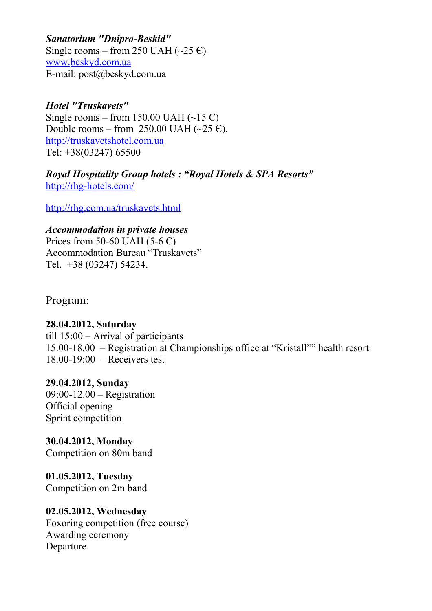*Sanatorium "Dnipro-Beskid"* Single rooms – from 250 UAH  $(\sim 25 \text{ C})$  [www. beskyd.com.ua](http://www.beskyd.com.ua/) E-mail: post@beskyd.com.ua

*Hotel "Truskavets"*  Single rooms – from 150.00 UAH (~15  $\epsilon$ ) Double rooms – from 250.00 UAH  $(\sim 25 \text{ C})$ . [http://truskavetshotel.com.ua](http://truskavetshotel.com.ua/?_link=about.html&_lang=ru) Tel: +38(03247) 65500

*Royal Hospitality Group hotels : "Royal Hotels & SPA Resorts"* <http://rhg-hotels.com/>

<http://rhg.com.ua/truskavets.html>

*Accommodation in private houses*  Prices from 50-60 UAH (5-6  $\epsilon$ ) Accommodation Bureau "Truskavets" Tel. +38 (03247) 54234.

Program:

**28.04.2012, Saturday** till 15:00 – Arrival of participants 15.00-18.00 – Registration at Championships office at "Kristall"" health resort 18.00-19:00 – Receivers test

**29.04.2012, Sunday** 09:00-12.00 – Registration Official opening Sprint competition

**30.04.2012, Monday** Competition on 80m band

**01.05.2012, Tuesday** Competition on 2m band

**02.05.2012, Wednesday** Foxoring competition (free course) Awarding ceremony Departure